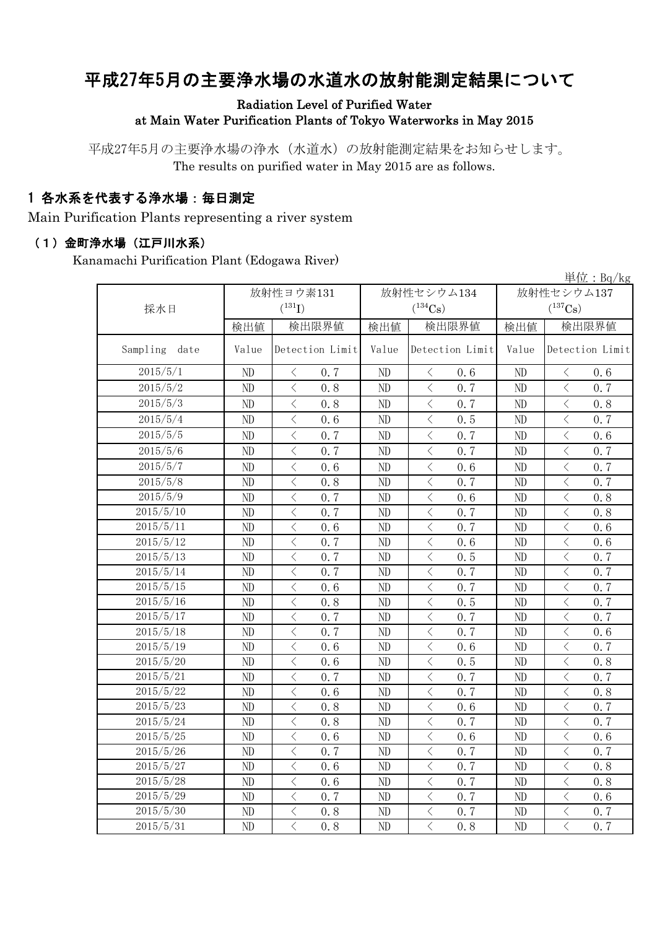# 平成27年5月の主要浄水場の水道水の放射能測定結果について

#### Radiation Level of Purified Water at Main Water Purification Plants of Tokyo Waterworks in May 2015

平成27年5月の主要浄水場の浄水(水道水)の放射能測定結果をお知らせします。 The results on purified water in May 2015 are as follows.

### 1 各水系を代表する浄水場:毎日測定

Main Purification Plants representing a river system

#### (1)金町浄水場(江戸川水系)

Kanamachi Purification Plant (Edogawa River)

|                  |          |                                                 |       |                                                  |                | $\frac{\dot{\mathbb{H}}$ 位: Bq/kg               |  |
|------------------|----------|-------------------------------------------------|-------|--------------------------------------------------|----------------|-------------------------------------------------|--|
|                  |          | 放射性ヨウ素131                                       |       | 放射性セシウム134                                       | 放射性セシウム137     |                                                 |  |
| 採水日              |          | $(^{131}I)$                                     |       | $(^{134}Cs)$                                     |                | $(^{137}Cs)$                                    |  |
|                  | 検出値      | 検出限界値                                           | 検出値   | 検出限界値                                            | 検出値            | 検出限界値                                           |  |
| Sampling<br>date | Value    | Detection Limit                                 | Value | Detection Limit                                  | Value          | Detection Limit                                 |  |
| 2015/5/1         | ND       | 0.7<br>$\lt$                                    | ND    | 0.6<br>$\langle$                                 | ND             | 0.6<br>$\langle$                                |  |
| 2015/5/2         | ND       | $\langle$<br>0.8                                | ND    | $\langle$<br>0.7                                 | ND             | $\overline{\left\langle \right\rangle }$<br>0.7 |  |
| 2015/5/3         | ND       | $\langle$<br>0.8                                | ND    | $\langle$<br>0, 7                                | ND             | $\langle$<br>0.8                                |  |
| 2015/5/4         | ND       | $\,$ $\,$ $\,$<br>0.6                           | ND    | $\lt$<br>0.5                                     | ND             | $\,$ $\,$ $\,$<br>0.7                           |  |
| 2015/5/5         | ND       | $\overline{\langle}$<br>0.7                     | ND    | $\overline{\left\langle \right\rangle }$<br>0.7  | N <sub>D</sub> | $\overline{\left\langle \right\rangle }$<br>0.6 |  |
| 2015/5/6         | $\rm ND$ | $\langle$<br>0.7                                | ND    | $\lt$<br>0.7                                     | ND             | $\lt$<br>0.7                                    |  |
| 2015/5/7         | ND       | $\lt$<br>0.6                                    | ND    | $\langle$<br>0, 6                                | ND             | $\langle$<br>0.7                                |  |
| 2015/5/8         | ND       | $\langle$<br>0.8                                | ND    | $\langle$<br>0.7                                 | ND             | $\overline{\left\langle \right\rangle }$<br>0.7 |  |
| 2015/5/9         | ND       | $\langle$<br>0.7                                | ND    | $\overline{\left\langle \right\rangle }$<br>0.6  | ND             | $\langle$<br>0.8                                |  |
| 2015/5/10        | ND       | $\overline{\left\langle \right\rangle }$<br>0.7 | ND    | $\overline{\left\langle \right\rangle }$<br>0.7  | ND             | $\langle$<br>0, 8                               |  |
| 2015/5/11        | ND       | $\overline{\left\langle \right\rangle }$<br>0.6 | ND    | $\overline{\left\langle \right\rangle }$<br>0.7  | ND             | $\langle$<br>0.6                                |  |
| 2015/5/12        | ND       | $\overline{\left\langle \right\rangle }$<br>0.7 | ND    | $\overline{\left\langle \right\rangle }$<br>0.6  | ND             | $\overline{\left\langle \right\rangle }$<br>0.6 |  |
| 2015/5/13        | ND       | $\lt$<br>0.7                                    | ND    | $\lt$<br>0.5                                     | ND             | $\lt$<br>0.7                                    |  |
| 2015/5/14        | ND       | $\overline{\left\langle \right\rangle }$<br>0.7 | ND    | $\langle$<br>0.7                                 | ND             | $\langle$<br>0.7                                |  |
| 2015/5/15        | ND       | $\lt$<br>0.6                                    | ND    | $\langle$<br>0.7                                 | ND             | $\langle$<br>0.7                                |  |
| 2015/5/16        | ND       | $\langle$<br>0.8                                | ND    | $\lt$<br>0.5                                     | ND             | $\langle$<br>0.7                                |  |
| 2015/5/17        | ND       | $\langle$<br>0.7                                | ND    | $\lt$<br>0.7                                     | ND             | $\,$ $\,$ $\,$<br>0.7                           |  |
| 2015/5/18        | $\rm ND$ | $\hspace{0.5cm}\big\langle$<br>0.7              | ND    | $\langle$<br>0.7                                 | ND             | $\lt$<br>0.6                                    |  |
| 2015/5/19        | ND       | $\langle$<br>0.6                                | ND    | $\langle$<br>0.6                                 | ND             | $\langle$<br>0.7                                |  |
| 2015/5/20        | ND       | $\,$ $\,$ $\,$<br>0.6                           | ND    | $\,$ $\,$ $\,$<br>0.5                            | ND             | $\lt$<br>0.8                                    |  |
| 2015/5/21        | ND       | $\,$ $\,$ $\,$<br>0.7                           | ND    | $\overline{\left\langle \right\rangle }$<br>0.7  | ND             | $\langle$<br>0.7                                |  |
| 2015/5/22        | ND       | $\lt$<br>0.6                                    | ND    | $\langle$<br>0.7                                 | N <sub>D</sub> | $\langle$<br>0.8                                |  |
| 2015/5/23        | ND       | $\langle$<br>0.8                                | ND    | $\langle$<br>0, 6                                | ND             | $\lt$<br>0.7                                    |  |
| 2015/5/24        | ND       | $\lt$<br>0.8                                    | ND    | $\overline{\left\langle \right\rangle }$<br>0.7  | ND             | $\langle$<br>0.7                                |  |
| 2015/5/25        | ND       | $\langle$<br>0, 6                               | ND    | $\overline{\left\langle \right\rangle }$<br>0, 6 | N <sub>D</sub> | $\overline{\left\langle \right\rangle }$<br>0.6 |  |
| 2015/5/26        | ND       | $\,$ $\,$ $\,$<br>0.7                           | ND    | $\,$ $\,$ $\,$<br>0.7                            | ND             | $\langle$<br>0.7                                |  |
| 2015/5/27        | ND       | $\,$ $\,$ $\,$<br>0.6                           | ND    | $\overline{\left\langle \right\rangle }$<br>0.7  | N <sub>D</sub> | $\langle$<br>0.8                                |  |
| 2015/5/28        | ND       | $\overline{\langle}$<br>0.6                     | ND    | $\overline{\left\langle \right\rangle }$<br>0.7  | ND             | $\overline{\left\langle \right\rangle }$<br>0.8 |  |
| 2015/5/29        | ND       | $\langle$<br>0.7                                | ND    | $\langle$<br>0.7                                 | ND             | $\langle$<br>0.6                                |  |
| 2015/5/30        | ND       | $\,$ $\,$ $\,$<br>0.8                           | ND    | $\lt$<br>0.7                                     | ND             | $\, \zeta \,$<br>0.7                            |  |
| 2015/5/31        | ND       | $\overline{\langle}$<br>0.8                     | ND    | $\overline{\left\langle \right\rangle }$<br>0.8  | ND             | $\overline{\left\langle \right\rangle }$<br>0.7 |  |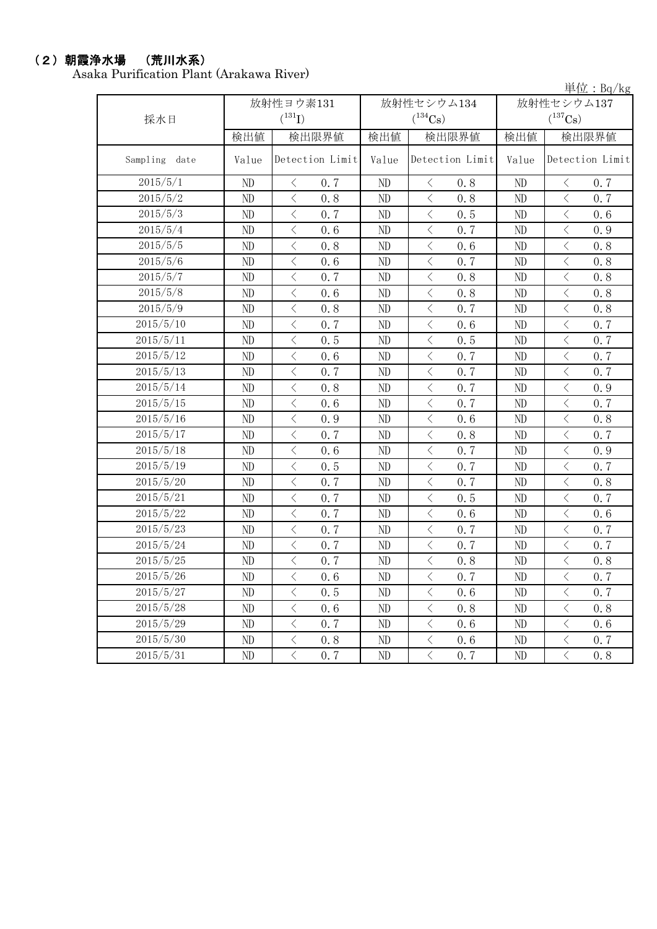### (2)朝霞浄水場 (荒川水系)

Asaka Purification Plant (Arakawa River)

単位:Bq/kg

| 採水日           |          | 放射性ヨウ素131<br>$(^{131}I)$                        |          | 放射性セシウム134<br>$(^{134}Cs)$                      | $+12 \cdot 197 \cdot 16$<br>放射性セシウム137<br>$(^{137}\mathrm{Cs})$ |                                                 |  |
|---------------|----------|-------------------------------------------------|----------|-------------------------------------------------|-----------------------------------------------------------------|-------------------------------------------------|--|
|               | 検出値      | 検出限界値                                           | 検出値      | 検出限界値                                           | 検出値                                                             | 検出限界値                                           |  |
| Sampling date | Value    | Detection Limit                                 | Value    | Detection Limit                                 | Value                                                           | Detection Limit                                 |  |
| 2015/5/1      | ND       | $\langle$<br>0.7                                | ND       | $\langle$<br>0.8                                | ND                                                              | $\langle$<br>0.7                                |  |
| 2015/5/2      | ND       | $\langle$<br>0.8                                | ND       | $\langle$<br>0.8                                | ND                                                              | $\overline{\left\langle \right\rangle }$<br>0.7 |  |
| 2015/5/3      | ND       | $\langle$<br>0.7                                | ND       | $\langle$<br>0.5                                | ND                                                              | $\langle$<br>0.6                                |  |
| 2015/5/4      | ND       | $\langle$<br>0.6                                | ND       | $\,$ $\,$ $\,$<br>0.7                           | ND                                                              | $\lt$<br>0.9                                    |  |
| 2015/5/5      | ND       | $\langle$<br>0.8                                | ND       | $\,$ $\,$ $\,$<br>0.6                           | ND                                                              | $\langle$<br>0.8                                |  |
| 2015/5/6      | ND       | $\,$ $\,$ $\,$<br>0.6                           | ND       | $\hspace{0.1mm} <\hspace{0.1mm}$<br>0.7         | ND                                                              | $\langle$<br>0.8                                |  |
| 2015/5/7      | ND       | $\,$ $\,$ $\,$<br>0.7                           | ND       | $\langle$<br>0.8                                | ND                                                              | $\lt$<br>0.8                                    |  |
| 2015/5/8      | ND       | $\lt$<br>0.6                                    | ND       | $\langle$<br>0.8                                | ND                                                              | $\lt$<br>0.8                                    |  |
| 2015/5/9      | ND       | $\,<\,$<br>0.8                                  | ND       | $\hspace{0.1mm}\big\langle$<br>0.7              | ND                                                              | $\langle$<br>0.8                                |  |
| 2015/5/10     | ND       | $\langle$<br>0.7                                | ND       | $\,$ $\,$ $\,$<br>0.6                           | ND                                                              | $\langle$<br>0.7                                |  |
| 2015/5/11     | $\rm ND$ | $\,$ $\,$ $\,$<br>0.5                           | $\rm ND$ | $\lt$<br>0.5                                    | $\rm ND$                                                        | $\lt$<br>0.7                                    |  |
| 2015/5/12     | ND       | $\,$ $\,$ $\,$<br>0.6                           | ND       | $\,$ $\,$ $\,$<br>0.7                           | ND                                                              | $\langle$<br>0.7                                |  |
| 2015/5/13     | ND       | $\langle$<br>0.7                                | $\rm ND$ | $\langle$<br>0.7                                | ND                                                              | $\overline{\left\langle \right\rangle }$<br>0.7 |  |
| 2015/5/14     | ND       | $\overline{\left\langle \right\rangle }$<br>0.8 | ND       | $\,$ $\,$ $\,$<br>0.7                           | ND                                                              | $\langle$<br>0.9                                |  |
| 2015/5/15     | ND       | $\overline{\left\langle \right\rangle }$<br>0.6 | ND       | $\langle$<br>0.7                                | ND                                                              | $\overline{\left\langle \right\rangle }$<br>0.7 |  |
| 2015/5/16     | ND       | $\langle$<br>0.9                                | ND       | $\overline{\left\langle \right\rangle }$<br>0.6 | ND                                                              | $\langle$<br>0.8                                |  |
| 2015/5/17     | ND       | $\,$ $\,$ $\,$<br>0.7                           | ND       | $\,$ $\,$ $\,$<br>0.8                           | ND                                                              | $\lt$<br>0.7                                    |  |
| 2015/5/18     | ND       | $\overline{\left\langle \right\rangle }$<br>0.6 | ND       | $\overline{\langle}$<br>0.7                     | ND                                                              | $\langle$<br>0.9                                |  |
| 2015/5/19     | ND       | $\overline{\left\langle \right\rangle }$<br>0.5 | ND       | $\langle$<br>0.7                                | ND                                                              | $\langle$<br>0.7                                |  |
| 2015/5/20     | ND       | $\langle$<br>0.7                                | $\rm ND$ | $\langle$<br>0.7                                | $\rm ND$                                                        | $\lt$<br>0.8                                    |  |
| 2015/5/21     | ND       | $\lt$<br>0.7                                    | ND       | $\langle$<br>0.5                                | ND                                                              | $\langle$<br>0.7                                |  |
| 2015/5/22     | ND       | $\lt$<br>0.7                                    | ND       | $\langle$<br>0.6                                | ND                                                              | $\lt$<br>0.6                                    |  |
| 2015/5/23     | ND       | $\,$ $\,$ $\,$<br>0.7                           | ND       | $\, <\,$<br>0.7                                 | ND                                                              | $\, \zeta \,$<br>0.7                            |  |
| 2015/5/24     | ND       | $\,$ $\,$ $\,$<br>0.7                           | ND       | $\langle$<br>0.7                                | ND                                                              | $\langle$<br>0.7                                |  |
| 2015/5/25     | ND       | $\lt$<br>0.7                                    | ND       | $\langle$<br>0.8                                | ND                                                              | $\lt$<br>0.8                                    |  |
| 2015/5/26     | $\rm ND$ | $\,$ $\,$ $\,$<br>0.6                           | ND       | $\langle$<br>0.7                                | ND                                                              | $\langle$<br>0.7                                |  |
| 2015/5/27     | ND       | $\langle$<br>0.5                                | ND       | $\langle$<br>0.6                                | ND                                                              | $\langle$<br>0.7                                |  |
| 2015/5/28     | $\rm ND$ | $\langle$<br>0.6                                | ND       | $\langle$<br>0.8                                | $\rm ND$                                                        | $\langle$<br>0.8                                |  |
| 2015/5/29     | $\rm ND$ | $\lt$<br>0.7                                    | $\rm ND$ | $\,$ $\,$ $\,$<br>0.6                           | $\rm ND$                                                        | $\langle$<br>0.6                                |  |
| 2015/5/30     | ND       | $\overline{\left\langle \right\rangle }$<br>0.8 | ND       | $\lt$<br>0.6                                    | ND                                                              | $\langle$<br>$0.7\,$                            |  |
| 2015/5/31     | ND       | $\overline{\left\langle \right\rangle }$<br>0.7 | ND       | $\,$ $\,$ $\,$<br>0.7                           | ND                                                              | $\overline{\left\langle \right\rangle }$<br>0.8 |  |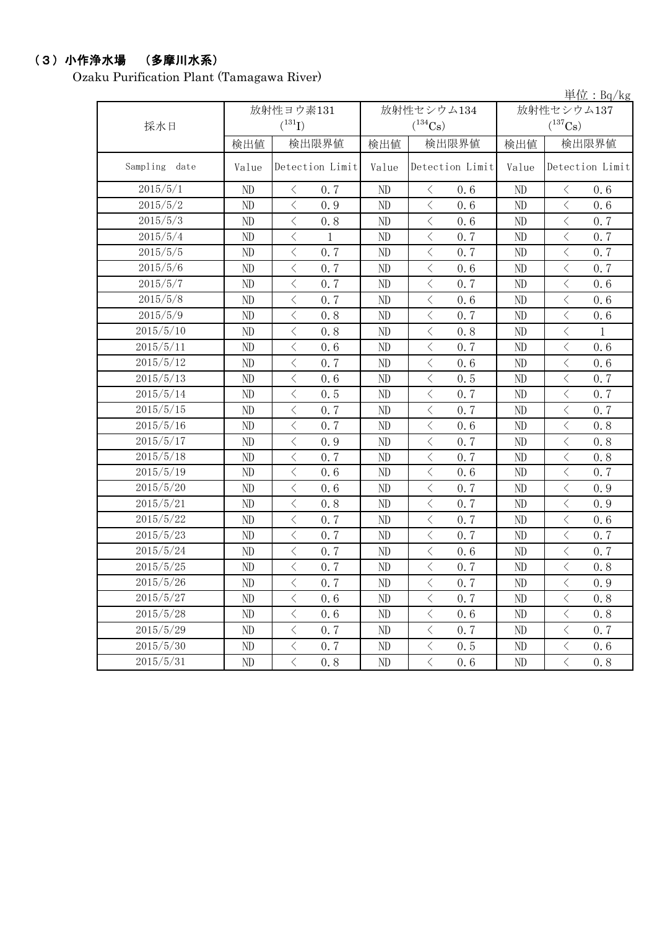### (3)小作浄水場 (多摩川水系)

Ozaku Purification Plant (Tamagawa River)

|                  |          |                                                 |       |                                                 |            | 単位: $Bq/kg$                                     |  |
|------------------|----------|-------------------------------------------------|-------|-------------------------------------------------|------------|-------------------------------------------------|--|
|                  |          | 放射性ヨウ素131                                       |       | 放射性セシウム134                                      | 放射性セシウム137 |                                                 |  |
| 採水日              |          | $({}^{131}\text{I})$                            |       | $(^{134}\mathrm{Cs})$                           |            | $(^{137}\mathrm{Cs})$                           |  |
|                  | 検出値      | 検出限界値                                           | 検出値   | 検出限界値                                           | 検出値        | 検出限界値                                           |  |
| Sampling<br>date | Value    | Detection Limit                                 | Value | Detection Limit                                 | Value      | Detection Limit                                 |  |
| 2015/5/1         | ND       | $\langle$<br>0.7                                | ND    | 0.6<br>$\lt$                                    | ND         | 0.6<br>$\lt$                                    |  |
| 2015/5/2         | ND       | $\lt$<br>0.9                                    | ND    | $\langle$<br>0.6                                | ND         | $\lt$<br>0.6                                    |  |
| 2015/5/3         | ND       | $\overline{\left\langle \right\rangle }$<br>0.8 | ND    | $\langle$<br>0.6                                | ND         | $\langle$<br>0.7                                |  |
| 2015/5/4         | ND       | $\,$ $\,$ $\,$<br>1                             | ND    | $\langle$<br>0.7                                | ND         | $\langle$<br>0.7                                |  |
| 2015/5/5         | ND       | $\lt$<br>0.7                                    | ND    | $\langle$<br>0.7                                | ND         | $\lt$<br>0.7                                    |  |
| 2015/5/6         | ND       | $\lt$<br>0.7                                    | ND    | $\,$ $\,$ $\,$<br>0.6                           | ND         | $\lt$<br>0.7                                    |  |
| 2015/5/7         | ND       | $\,<\,$<br>0.7                                  | ND    | $\, <\,$<br>0.7                                 | ND         | $\,<\,$<br>0.6                                  |  |
| 2015/5/8         | ND       | $\langle$<br>0.7                                | ND    | $\langle$<br>0.6                                | ND         | $\,$ $\,$ $\,$<br>0.6                           |  |
| 2015/5/9         | ND       | $\langle$<br>0.8                                | ND    | $\,$ $\,$ $\,$<br>0.7                           | ND         | $\,$ $\,$ $\,$<br>0.6                           |  |
| 2015/5/10        | ND       | $\lt$<br>0.8                                    | ND    | $\lt$<br>0.8                                    | ND         | $\, \leq$<br>1                                  |  |
| 2015/5/11        | ND       | $\lt$<br>0.6                                    | ND    | $\lt$<br>0.7                                    | ND         | $\lt$<br>0.6                                    |  |
| 2015/5/12        | ND       | $\langle$<br>0.7                                | ND    | $\langle$<br>0.6                                | ND         | $\langle$<br>0.6                                |  |
| 2015/5/13        | ND       | $\langle$<br>0.6                                | ND    | $\lt$<br>0.5                                    | ND         | $\hspace{0.5cm}\big\langle$<br>0.7              |  |
| 2015/5/14        | ND       | $\lt$<br>0.5                                    | ND    | $\hspace{0.1mm} <\hspace{0.1mm}$<br>0.7         | ND         | $\,$ $\,$ $\,$<br>0.7                           |  |
| 2015/5/15        | ND       | $\lt$<br>0.7                                    | ND    | $\lt$<br>0.7                                    | ND         | $\,$ $\,$ $\,$<br>0.7                           |  |
| 2015/5/16        | ND       | $\langle$<br>0.7                                | ND    | $\langle$<br>0.6                                | ND         | $\langle$<br>0.8                                |  |
| 2015/5/17        | ND       | $\langle$<br>0.9                                | ND    | $\langle$<br>0.7                                | ND         | $\langle$<br>0.8                                |  |
| 2015/5/18        | ND       | $\lt$<br>0.7                                    | ND    | $\, < \,$<br>0.7                                | ND         | $\hspace{0.1mm} <\hspace{0.1mm}$<br>0.8         |  |
| 2015/5/19        | ND       | $\overline{\left\langle \right\rangle }$<br>0.6 | ND    | $\langle$<br>0.6                                | ND         | $\langle$<br>0.7                                |  |
| 2015/5/20        | ND       | $\langle$<br>0.6                                | ND    | $\,$ $\,$ $\,$<br>0.7                           | ND         | $\langle$<br>0.9                                |  |
| 2015/5/21        | ND       | $\lt$<br>0.8                                    | ND    | $\langle$<br>0.7                                | ND         | $\lt$<br>0.9                                    |  |
| 2015/5/22        | ND       | $\lt$<br>0.7                                    | ND    | $\,$ $\,$ $\,$<br>0.7                           | ND         | $\lt$<br>0.6                                    |  |
| 2015/5/23        | ND       | $\overline{\left\langle \right\rangle }$<br>0.7 | ND    | $\overline{\left\langle \right\rangle }$<br>0.7 | ND         | $\overline{\left\langle \right\rangle }$<br>0.7 |  |
| 2015/5/24        | ND       | $\lt$<br>0.7                                    | ND    | $\,$ $\,$ $\,$<br>0.6                           | ND         | $\,$ $\,$ $\,$<br>0.7                           |  |
| 2015/5/25        | ND       | $\langle$<br>0.7                                | ND    | $\, < \,$<br>0.7                                | ND         | $\,$ $\,$ $\,$<br>0.8                           |  |
| 2015/5/26        | ND       | $\langle$<br>0.7                                | ND.   | く<br>0, 7                                       | ND         | $\langle$<br>0.9                                |  |
| 2015/5/27        | $\rm ND$ | $\langle$<br>0.6                                | ND    | $\langle$<br>0.7                                | ND         | $\langle$<br>0.8                                |  |
| 2015/5/28        | ND       | $\, <\,$<br>0.6                                 | ND    | $\langle$<br>0.6                                | ND         | $\langle$<br>0.8                                |  |
| 2015/5/29        | ND       | $\langle$<br>0, 7                               | ND    | $\langle$<br>0.7                                | ND         | $\langle$<br>0.7                                |  |
| 2015/5/30        | ND       | $\langle$<br>0.7                                | ND    | $\langle$<br>0.5                                | ND         | $\langle$<br>0.6                                |  |
| 2015/5/31        | ND       | $\langle$<br>0, 8                               | ND    | $\big\langle$<br>0.6                            | ND         | $\langle$<br>0.8                                |  |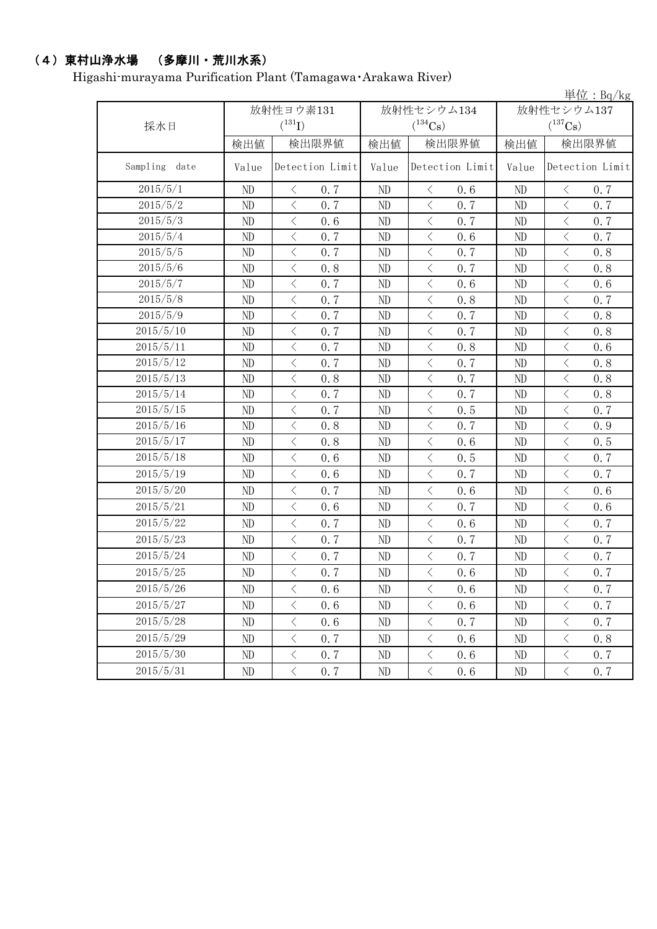### (4)東村山浄水場 (多摩川・荒川水系)

Higashi-murayama Purification Plant (Tamagawa・Arakawa River)

|                  |       |                                                 |          |                            |                                     | 単位: $Bq/kg$                                     |  |
|------------------|-------|-------------------------------------------------|----------|----------------------------|-------------------------------------|-------------------------------------------------|--|
|                  |       | 放射性ヨウ素131                                       |          | 放射性セシウム134                 | 放射性セシウム137<br>$(^{137}\mathrm{Cs})$ |                                                 |  |
| 採水日              |       | $(^{131}I)$                                     |          | $(^{134}Cs)$               |                                     |                                                 |  |
|                  | 検出値   | 検出限界値                                           | 検出値      | 検出限界値                      | 検出値                                 | 検出限界値<br>Detection Limit                        |  |
| Sampling<br>date | Value | Detection Limit                                 | Value    | Detection Limit            | Value                               |                                                 |  |
| 2015/5/1         | ND    | $\langle$<br>0.7                                | ND       | $\lt$<br>0.6               | ND                                  | 0.7<br>$\langle$                                |  |
| 2015/5/2         | ND    | $\langle$<br>0, 7                               | ND       | $\langle$<br>0.7           | ND                                  | $\lt$<br>0.7                                    |  |
| 2015/5/3         | ND    | $\langle$<br>0.6                                | ND       | $\langle$<br>0.7           | ND                                  | $\langle$<br>0.7                                |  |
| 2015/5/4         | ND    | $\langle$<br>0.7                                | ND       | $\langle$<br>0.6           | ND                                  | $\langle$<br>0.7                                |  |
| 2015/5/5         | ND    | $\langle$<br>0.7                                | ND       | $\langle$<br>0.7           | ND                                  | $\langle$<br>0.8                                |  |
| 2015/5/6         | ND    | $\langle$<br>0.8                                | $\rm ND$ | $\langle$<br>0.7           | ND                                  | $\lt$<br>0.8                                    |  |
| 2015/5/7         | ND    | $\, <\,$<br>0.7                                 | ND       | $\langle$<br>0.6           | ND                                  | $\,$ $\,$ $\,$<br>0.6                           |  |
| 2015/5/8         | ND    | $\langle$<br>0.7                                | ND       | $\langle$<br>0.8           | ND                                  | $\langle$<br>0.7                                |  |
| 2015/5/9         | ND    | $\langle$<br>0.7                                | ND       | $\langle$<br>0.7           | ND                                  | $\,$ $\,$ $\,$<br>0.8                           |  |
| 2015/5/10        | ND    | $\langle$<br>0.7                                | ND       | $\langle$<br>0.7           | ND                                  | $\, \leq$<br>0.8                                |  |
| 2015/5/11        | ND    | $\lt$<br>0.7                                    | ND       | $\lt$<br>0.8               | ND                                  | $\,$ $\,$ $\,$<br>0.6                           |  |
| 2015/5/12        | ND    | $\overline{\left\langle \right\rangle }$<br>0.7 | ND       | $\langle$<br>0.7           | ND                                  | $\, <\,$<br>0.8                                 |  |
| 2015/5/13        | ND    | $\,$ $\,$ $\,$<br>0.8                           | ND       | $\langle$<br>0.7           | ND                                  | $\,$ $\,$ $\,$<br>0.8                           |  |
| 2015/5/14        | ND    | $\langle$<br>0.7                                | ND       | $\langle$<br>0.7           | ND                                  | $\overline{\left\langle \right\rangle }$<br>0.8 |  |
| 2015/5/15        | ND    | $\,$ $\,$ $\,$<br>0.7                           | ND       | $\langle$<br>0.5           | ND                                  | $\,$ $\,$ $\,$<br>0.7                           |  |
| 2015/5/16        | ND    | $\langle$<br>0.8                                | ND       | $\langle$<br>0.7           | ND                                  | $\lt$<br>0.9                                    |  |
| 2015/5/17        | ND    | $\langle$<br>0.8                                | ND       | $\langle$<br>0.6           | ND                                  | $\langle$<br>0.5                                |  |
| 2015/5/18        | ND    | $\langle$<br>0.6                                | ND       | $\langle$<br>0.5           | ND                                  | $\,$ $\,$ $\,$<br>0.7                           |  |
| 2015/5/19        | ND    | $\langle$<br>0.6                                | ND       | $\langle$<br>0.7           | ND                                  | $\langle$<br>0.7                                |  |
| 2015/5/20        | ND    | $\langle$<br>0.7                                | ND       | $\langle$<br>0.6           | ND                                  | $\langle$<br>0.6                                |  |
| 2015/5/21        | ND    | $\langle$<br>0.6                                | ND       | $\langle$<br>0.7           | ND                                  | $\,$ $\,$ $\,$<br>0.6                           |  |
| 2015/5/22        | ND    | $\langle$<br>0.7                                | ND       | $\langle$<br>0.6           | ND                                  | $\, \leq$<br>0.7                                |  |
| 2015/5/23        | ND    | 0.7<br>$\langle$                                | ND       | $\langle$<br>0.7           | ND                                  | $\,$ $\,$ $\,$<br>0.7                           |  |
| 2015/5/24        | ND    | $\, \leq$<br>0.7                                | ND       | $\langle$<br>0.7           | ND                                  | $\, <\,$<br>0.7                                 |  |
| 2015/5/25        | ND    | $\langle$<br>0.7                                | ND       | $\,$ $\,$ $\,$<br>0.6      | ND                                  | $\,$ $\,$ $\,$<br>0.7                           |  |
| 2015/5/26        | ND    | $\langle$<br>0.6                                | ND       | $\langle$<br>0.6           | ND                                  | 0.7<br>$\lt$                                    |  |
| 2015/5/27        | ND    | $\, \big\langle \,$<br>0.6                      | $\rm ND$ | $\langle$<br>0.6           | ND                                  | $\, <\,$<br>0.7                                 |  |
| 2015/5/28        | ND    | $\, \big\langle \,$<br>0.6                      | ND       | $\, \big\langle \,$<br>0.7 | ND                                  | $\, \leq$<br>0.7                                |  |
| 2015/5/29        | ND    | 0.7<br>$\bigl\langle$                           | $\rm ND$ | $\langle$<br>0.6           | ND                                  | $\bigl\langle$<br>0.8                           |  |
| 2015/5/30        | ND    | $\bigl\langle$<br>0.7                           | ND       | $\big\langle$<br>0.6       | ND                                  | $\bigl\langle$<br>0.7                           |  |
| 2015/5/31        | ND    | $\langle$<br>0.7                                | $\rm ND$ | $\langle$<br>0.6           | ND                                  | $\langle$<br>0.7                                |  |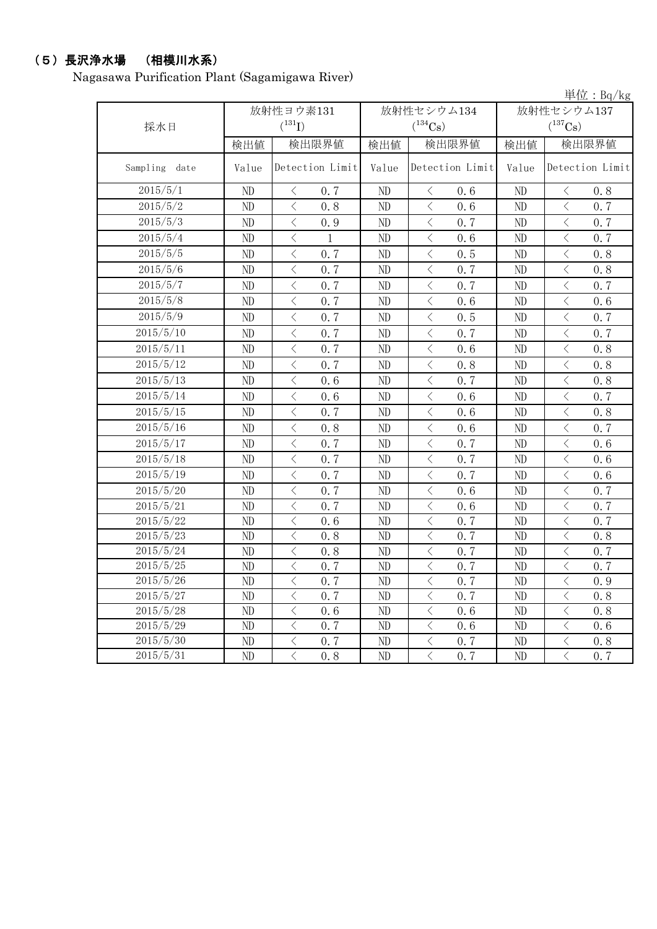## (5)長沢浄水場 (相模川水系)

Nagasawa Purification Plant (Sagamigawa River)

|               |             |                                                 | 単位: Bq/kg |                                                  |                |                                         |  |  |  |
|---------------|-------------|-------------------------------------------------|-----------|--------------------------------------------------|----------------|-----------------------------------------|--|--|--|
|               |             | 放射性ヨウ素131                                       |           | 放射性セシウム134                                       | 放射性セシウム137     |                                         |  |  |  |
| 採水日           | $(^{131}I)$ |                                                 |           |                                                  | $(^{137}Cs)$   |                                         |  |  |  |
|               | 検出値         | 検出限界値                                           | 検出値       | 検出限界値                                            | 検出値            | 検出限界値                                   |  |  |  |
| Sampling date | Value       | Detection Limit                                 | Value     | Detection Limit                                  | Value          | Detection Limit                         |  |  |  |
| 2015/5/1      | ND          | 0.7<br>$\langle$                                | ND        | 0.6<br>$\langle$                                 | ND             | 0.8<br>$\lt$                            |  |  |  |
| 2015/5/2      | ND          | $\langle$<br>0.8                                | ND        | $\langle$<br>0.6                                 | ND             | $\langle$<br>0, 7                       |  |  |  |
| 2015/5/3      | ND          | $\,$ $\,$ $\,$<br>0.9                           | ND        | $\overline{\left\langle \right\rangle }$<br>0, 7 | ND             | $\langle$<br>0.7                        |  |  |  |
| 2015/5/4      | ND          | $\langle$<br>$\mathbf{1}$                       | $\rm ND$  | $\langle$<br>0.6                                 | ND             | $\langle$<br>0.7                        |  |  |  |
| 2015/5/5      | ND          | $\overline{\left\langle \right\rangle }$<br>0.7 | ND        | $\langle$<br>0.5                                 | ND             | $\lt$<br>0.8                            |  |  |  |
| 2015/5/6      | ND          | $\lt$<br>0, 7                                   | ND        | $\langle$<br>0, 7                                | ND             | $\langle$<br>0.8                        |  |  |  |
| 2015/5/7      | ND          | $\overline{\left\langle \right\rangle }$<br>0.7 | ND        | $\overline{\left\langle \right\rangle }$<br>0.7  | N <sub>D</sub> | $\langle$<br>0.7                        |  |  |  |
| 2015/5/8      | ND          | $\lt$<br>0.7                                    | ND        | $\langle$<br>0.6                                 | ND             | $\lt$<br>0.6                            |  |  |  |
| 2015/5/9      | ND          | $\langle$<br>0.7                                | ND        | $\langle$<br>0.5                                 | ND             | $\langle$<br>0.7                        |  |  |  |
| 2015/5/10     | ND          | $\lt$<br>0, 7                                   | ND        | $\lt$<br>0, 7                                    | ND             | $\lt$<br>0, 7                           |  |  |  |
| 2015/5/11     | ND          | $\,$ $\,$ $\,$<br>0.7                           | ND        | $\lt$<br>0, 6                                    | ND             | $\,<\,$<br>0.8                          |  |  |  |
| 2015/5/12     | ND          | $\langle$<br>0.7                                | ND        | $\lt$<br>0.8                                     | ND             | $\hspace{0.5cm} <\hspace{0.5cm}$<br>0.8 |  |  |  |
| 2015/5/13     | ND          | $\,$ $\,$ $\,$<br>0.6                           | ND        | $\langle$<br>0, 7                                | ND             | $\,$ $\,$ $\,$<br>0.8                   |  |  |  |
| 2015/5/14     | ND          | $\lt$<br>0.6                                    | ND        | $\langle$<br>0.6                                 | ND             | $\,$ $\,$ $\,$<br>0, 7                  |  |  |  |
| 2015/5/15     | ND          | $\lt$<br>0.7                                    | ND        | $\lt$<br>0.6                                     | ND             | $\lt$<br>0.8                            |  |  |  |
| 2015/5/16     | ND          | $\,$ $\,$ $\,$<br>0.8                           | ND        | $\,$ $\,$ $\,$<br>0.6                            | ND             | $\,<\,$<br>0.7                          |  |  |  |
| 2015/5/17     | ND          | $\lt$<br>0.7                                    | ND        | $\lt$<br>0, 7                                    | ND             | $\,$ $\,$ $\,$<br>0, 6                  |  |  |  |
| 2015/5/18     | ND          | $\lt$<br>0.7                                    | ND        | $\lt$<br>0.7                                     | ND             | $\,$ $\,$ $\,$<br>0.6                   |  |  |  |
| 2015/5/19     | ND          | $\langle$<br>0.7                                | ND        | $\lt$<br>0.7                                     | ND             | $\,<\,$<br>0.6                          |  |  |  |
| 2015/5/20     | ND          | $\langle$<br>0.7                                | ND        | $\langle$<br>0.6                                 | ND             | $\langle$<br>0.7                        |  |  |  |
| 2015/5/21     | ND          | $\,$ $\,$ $\,$<br>0.7                           | ND        | $\lt$<br>0.6                                     | ND             | $\,$ $\,$ $\,$<br>0.7                   |  |  |  |
| 2015/5/22     | ND          | $\,$ $\,$ $\,$<br>0.6                           | ND        | $\lt$<br>0.7                                     | ND             | $\,$ $\,$ $\,$<br>0.7                   |  |  |  |
| 2015/5/23     | ND          | $\,$ $\,$ $\,$<br>0.8                           | ND        | $\lt$<br>0, 7                                    | ND             | $\,<\,$<br>0.8                          |  |  |  |
| 2015/5/24     | ND          | $\langle$<br>0.8                                | ND        | $\lt$<br>0.7                                     | ND             | $\,<\,$<br>0.7                          |  |  |  |
| 2015/5/25     | ND          | $\lt$<br>0.7                                    | ND        | $\,$ $\,$ $\,$<br>0.7                            | ND             | $\,$ $\,$ $\,$<br>0.7                   |  |  |  |
| 2015/5/26     | ND          | $\hspace{0.5cm}\big\langle$<br>0.7              | ND        | $\langle$<br>0.7                                 | ND             | $\langle$<br>0.9                        |  |  |  |
| 2015/5/27     | ND          | $\lt$<br>0.7                                    | ND        | 0, 7<br>$\langle$                                | ND             | $\lt$<br>0.8                            |  |  |  |
| 2015/5/28     | ND          | $\lt$<br>0.6                                    | ND        | $\langle$<br>0.6                                 | ND             | $\lt$<br>0.8                            |  |  |  |
| 2015/5/29     | ND          | $\langle$<br>0.7                                | ND        | $\lt$<br>0.6                                     | ND             | $\,$ $\,$ $\,$<br>0.6                   |  |  |  |
| 2015/5/30     | ND          | $\bigg\langle$<br>0.7                           | ND        | $\overline{\left\langle \right\rangle }$<br>0.7  | ND             | $\,$ $\,$ $\,$<br>0.8                   |  |  |  |
| 2015/5/31     | ND          | $\langle$<br>0.8                                | ND        | $\langle$<br>0.7                                 | ND             | $\langle$<br>0.7                        |  |  |  |